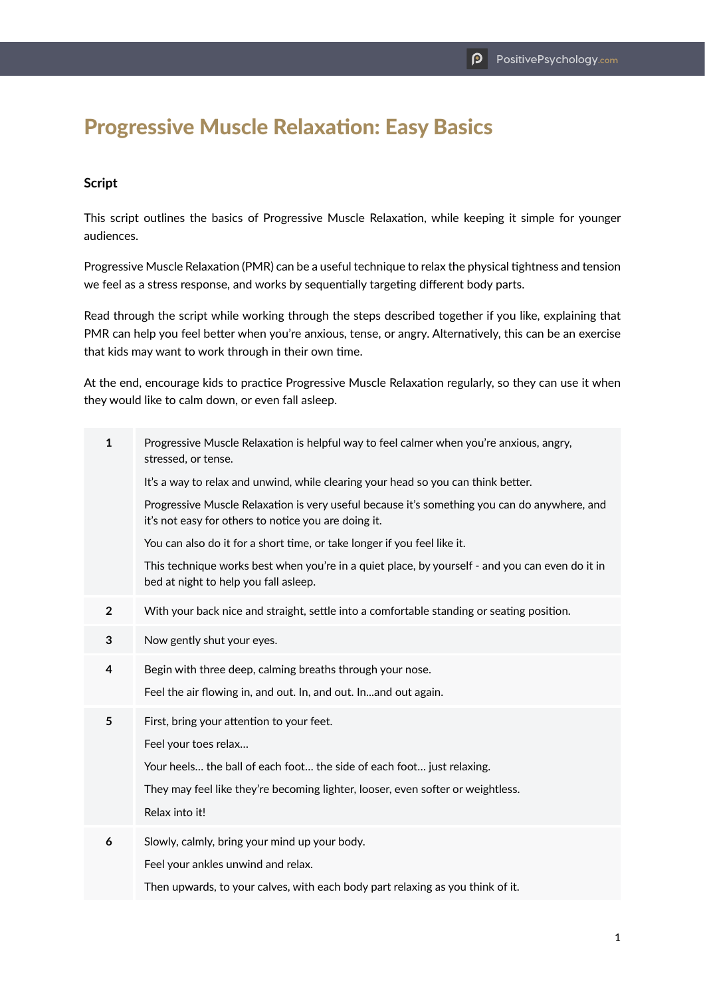## Progressive Muscle Relaxation: Easy Basics

## **Script**

This script outlines the basics of Progressive Muscle Relaxation, while keeping it simple for younger audiences.

Progressive Muscle Relaxation (PMR) can be a useful technique to relax the physical tightness and tension we feel as a stress response, and works by sequentially targeting different body parts.

Read through the script while working through the steps described together if you like, explaining that PMR can help you feel better when you're anxious, tense, or angry. Alternatively, this can be an exercise that kids may want to work through in their own time.

At the end, encourage kids to practice Progressive Muscle Relaxation regularly, so they can use it when they would like to calm down, or even fall asleep.

| $\mathbf{1}$   | Progressive Muscle Relaxation is helpful way to feel calmer when you're anxious, angry,<br>stressed, or tense.                                       |
|----------------|------------------------------------------------------------------------------------------------------------------------------------------------------|
|                | It's a way to relax and unwind, while clearing your head so you can think better.                                                                    |
|                | Progressive Muscle Relaxation is very useful because it's something you can do anywhere, and<br>it's not easy for others to notice you are doing it. |
|                | You can also do it for a short time, or take longer if you feel like it.                                                                             |
|                | This technique works best when you're in a quiet place, by yourself - and you can even do it in<br>bed at night to help you fall asleep.             |
| $\overline{2}$ | With your back nice and straight, settle into a comfortable standing or seating position.                                                            |
| 3              | Now gently shut your eyes.                                                                                                                           |
| 4              | Begin with three deep, calming breaths through your nose.                                                                                            |
|                | Feel the air flowing in, and out. In, and out. Inand out again.                                                                                      |
| 5              | First, bring your attention to your feet.                                                                                                            |
|                | Feel your toes relax                                                                                                                                 |
|                | Your heels the ball of each foot the side of each foot just relaxing.                                                                                |
|                | They may feel like they're becoming lighter, looser, even softer or weightless.                                                                      |
|                | Relax into it!                                                                                                                                       |
| 6              | Slowly, calmly, bring your mind up your body.                                                                                                        |
|                | Feel your ankles unwind and relax.                                                                                                                   |
|                | Then upwards, to your calves, with each body part relaxing as you think of it.                                                                       |